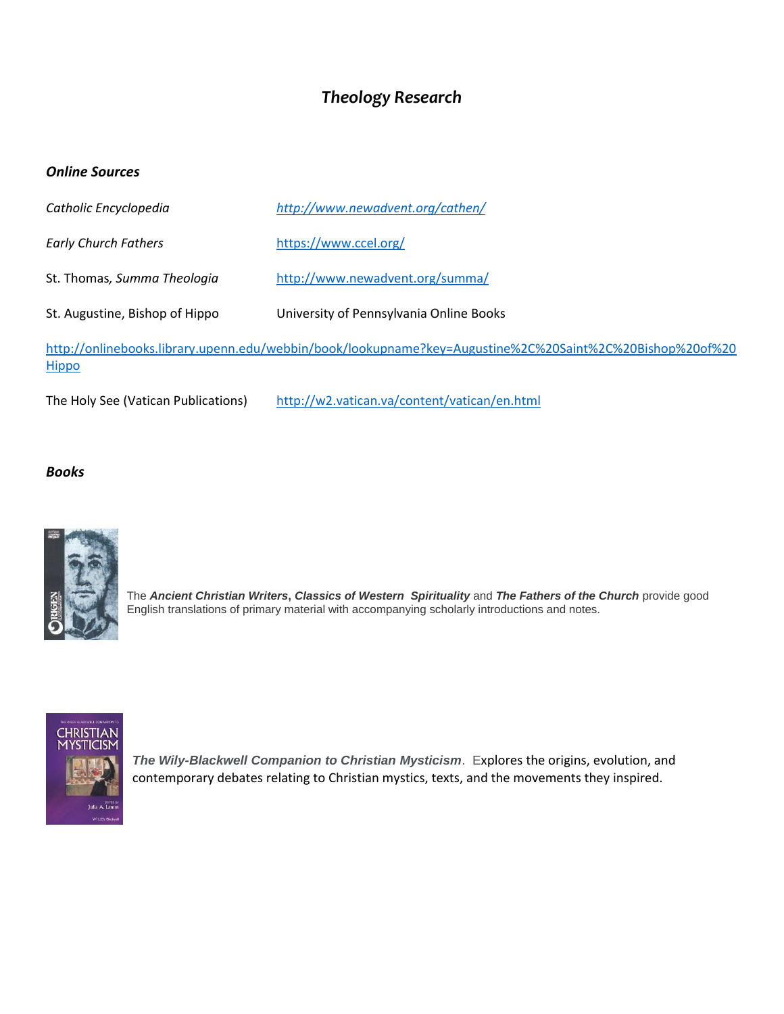## *Theology Research*

### *Online Sources*

| Catholic Encyclopedia                                                                                                    | http://www.newadvent.org/cathen/        |
|--------------------------------------------------------------------------------------------------------------------------|-----------------------------------------|
| <b>Early Church Fathers</b>                                                                                              | https://www.ccel.org/                   |
| St. Thomas, Summa Theologia                                                                                              | http://www.newadvent.org/summa/         |
| St. Augustine, Bishop of Hippo                                                                                           | University of Pennsylvania Online Books |
| http://onlinebooks.library.upenn.edu/webbin/book/lookupname?key=Augustine%2C%20Saint%2C%20Bishop%20of%20<br><b>Hippo</b> |                                         |

The Holy See (Vatican Publications) <http://w2.vatican.va/content/vatican/en.html>

#### *Books*



The *Ancient Christian Writers***,** *Classics of Western Spirituality* and *The Fathers of the Church* provide good English translations of primary material with accompanying scholarly introductions and notes.



*The Wily-Blackwell Companion to Christian Mysticism*. Explores the origins, evolution, and contemporary debates relating to Christian mystics, texts, and the movements they inspired.